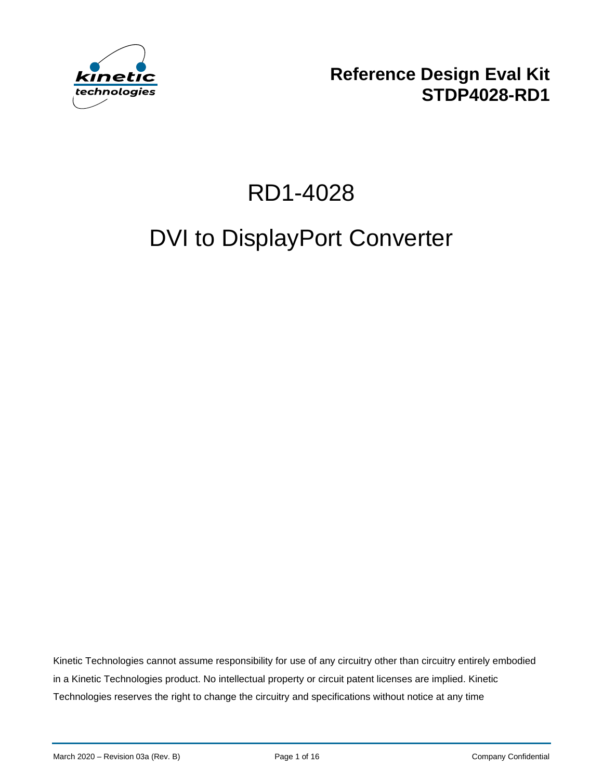

**Reference Design Eval Kit STDP4028-RD1**

# RD1-4028

# DVI to DisplayPort Converter

Kinetic Technologies cannot assume responsibility for use of any circuitry other than circuitry entirely embodied in a Kinetic Technologies product. No intellectual property or circuit patent licenses are implied. Kinetic Technologies reserves the right to change the circuitry and specifications without notice at any time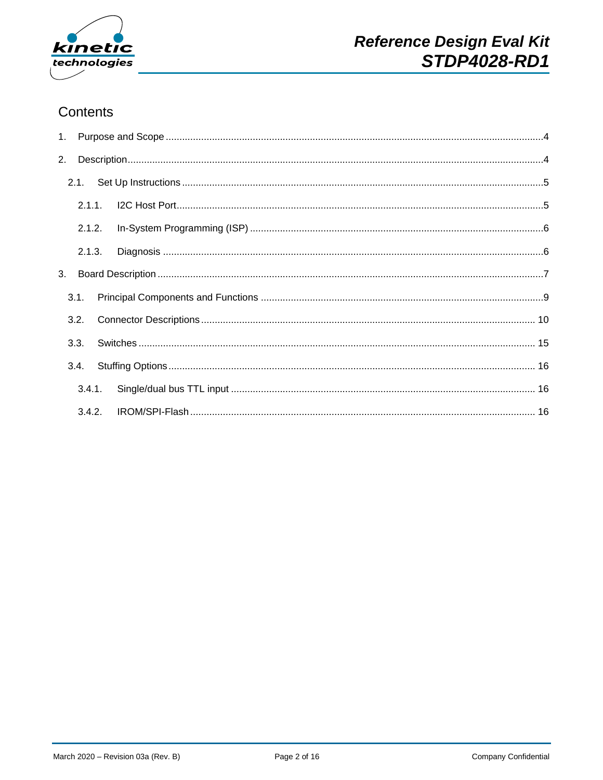

## Contents

| 2. |        |  |  |
|----|--------|--|--|
|    |        |  |  |
|    |        |  |  |
|    | 2.1.2. |  |  |
|    | 2.1.3. |  |  |
|    |        |  |  |
|    | 3.1.   |  |  |
|    | 3.2.   |  |  |
|    | 3.3.   |  |  |
|    | 3.4.   |  |  |
|    |        |  |  |
|    |        |  |  |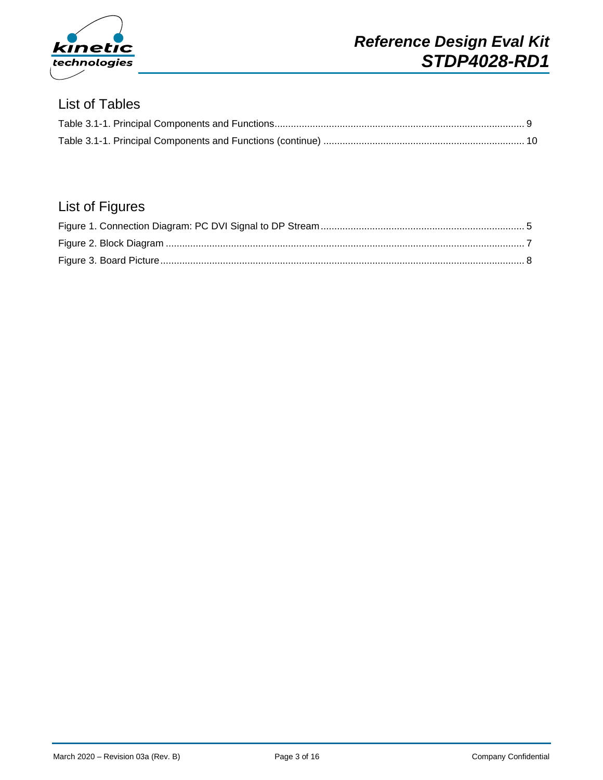

### List of Tables

## List of Figures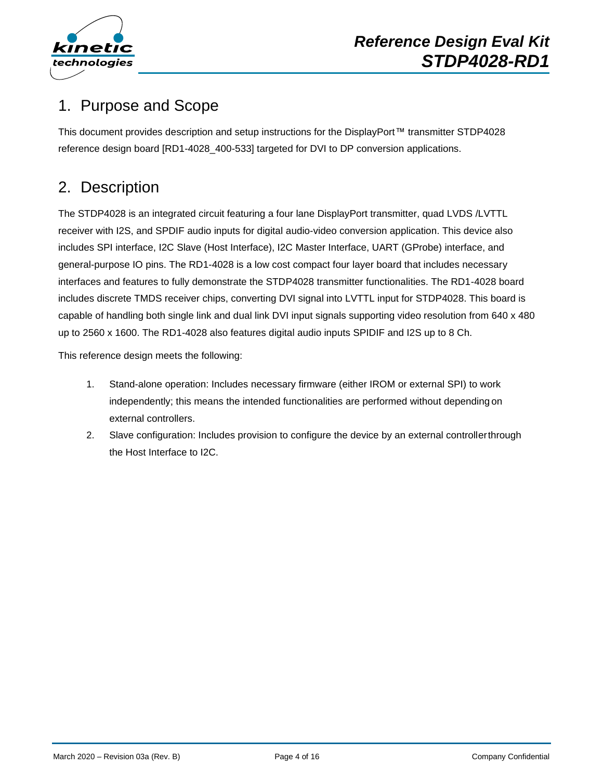

# <span id="page-3-0"></span>1. Purpose and Scope

This document provides description and setup instructions for the DisplayPort™ transmitter STDP4028 reference design board [RD1-4028\_400-533] targeted for DVI to DP conversion applications.

# <span id="page-3-1"></span>2. Description

The STDP4028 is an integrated circuit featuring a four lane DisplayPort transmitter, quad LVDS /LVTTL receiver with I2S, and SPDIF audio inputs for digital audio-video conversion application. This device also includes SPI interface, I2C Slave (Host Interface), I2C Master Interface, UART (GProbe) interface, and general-purpose IO pins. The RD1-4028 is a low cost compact four layer board that includes necessary interfaces and features to fully demonstrate the STDP4028 transmitter functionalities. The RD1-4028 board includes discrete TMDS receiver chips, converting DVI signal into LVTTL input for STDP4028. This board is capable of handling both single link and dual link DVI input signals supporting video resolution from 640 x 480 up to 2560 x 1600. The RD1-4028 also features digital audio inputs SPIDIF and I2S up to 8 Ch.

This reference design meets the following:

- 1. Stand-alone operation: Includes necessary firmware (either IROM or external SPI) to work independently; this means the intended functionalities are performed without depending on external controllers.
- 2. Slave configuration: Includes provision to configure the device by an external controllerthrough the Host Interface to I2C.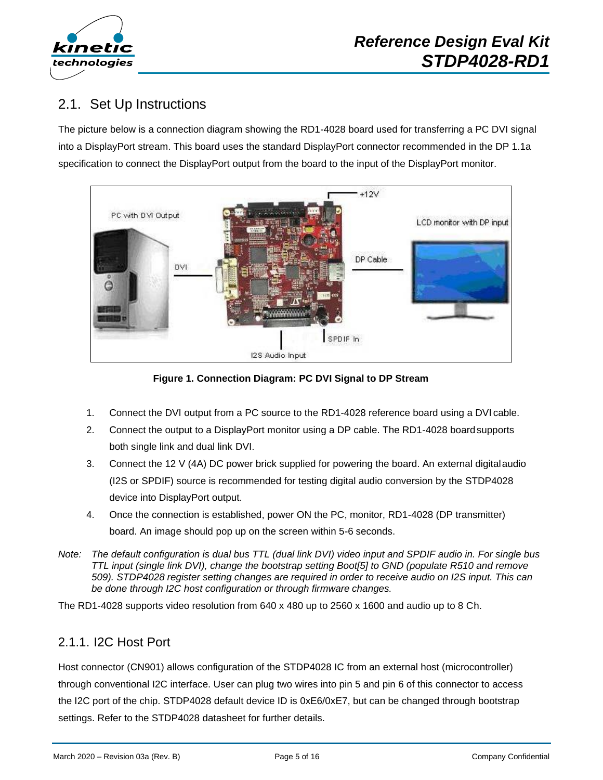

## <span id="page-4-0"></span>2.1. Set Up Instructions

The picture below is a connection diagram showing the RD1-4028 board used for transferring a PC DVI signal into a DisplayPort stream. This board uses the standard DisplayPort connector recommended in the DP 1.1a specification to connect the DisplayPort output from the board to the input of the DisplayPort monitor.



**Figure 1. Connection Diagram: PC DVI Signal to DP Stream**

- 1. Connect the DVI output from a PC source to the RD1-4028 reference board using a DVI cable.
- 2. Connect the output to a DisplayPort monitor using a DP cable. The RD1-4028 boardsupports both single link and dual link DVI.
- 3. Connect the 12 V (4A) DC power brick supplied for powering the board. An external digitalaudio (I2S or SPDIF) source is recommended for testing digital audio conversion by the STDP4028 device into DisplayPort output.
- 4. Once the connection is established, power ON the PC, monitor, RD1-4028 (DP transmitter) board. An image should pop up on the screen within 5-6 seconds.
- *Note: The default configuration is dual bus TTL (dual link DVI) video input and SPDIF audio in. For single bus TTL input (single link DVI), change the bootstrap setting Boot[5] to GND (populate R510 and remove 509). STDP4028 register setting changes are required in order to receive audio on I2S input. This can be done through I2C host configuration or through firmware changes.*

The RD1-4028 supports video resolution from 640 x 480 up to 2560 x 1600 and audio up to 8 Ch.

#### <span id="page-4-1"></span>2.1.1. I2C Host Port

Host connector (CN901) allows configuration of the STDP4028 IC from an external host (microcontroller) through conventional I2C interface. User can plug two wires into pin 5 and pin 6 of this connector to access the I2C port of the chip. STDP4028 default device ID is 0xE6/0xE7, but can be changed through bootstrap settings. Refer to the STDP4028 datasheet for further details.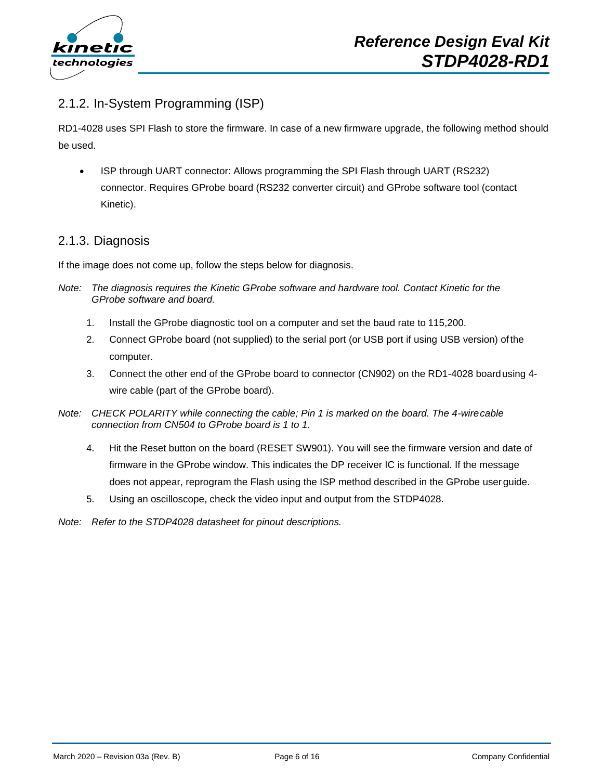

#### <span id="page-5-0"></span>2.1.2. In-System Programming (ISP)

RD1-4028 uses SPI Flash to store the firmware. In case of a new firmware upgrade, the following method should be used.

• ISP through UART connector: Allows programming the SPI Flash through UART (RS232) connector. Requires GProbe board (RS232 converter circuit) and GProbe software tool (contact Kinetic).

#### <span id="page-5-1"></span>2.1.3. Diagnosis

If the image does not come up, follow the steps below for diagnosis.

- *Note: The diagnosis requires the Kinetic GProbe software and hardware tool. Contact Kinetic for the GProbe software and board.*
	- 1. Install the GProbe diagnostic tool on a computer and set the baud rate to 115,200.
	- 2. Connect GProbe board (not supplied) to the serial port (or USB port if using USB version) ofthe computer.
	- 3. Connect the other end of the GProbe board to connector (CN902) on the RD1-4028 boardusing 4 wire cable (part of the GProbe board).
- *Note: CHECK POLARITY while connecting the cable; Pin 1 is marked on the board. The 4-wirecable connection from CN504 to GProbe board is 1 to 1.*
	- 4. Hit the Reset button on the board (RESET SW901). You will see the firmware version and date of firmware in the GProbe window. This indicates the DP receiver IC is functional. If the message does not appear, reprogram the Flash using the ISP method described in the GProbe user guide.
	- 5. Using an oscilloscope, check the video input and output from the STDP4028.
- *Note: Refer to the STDP4028 datasheet for pinout descriptions.*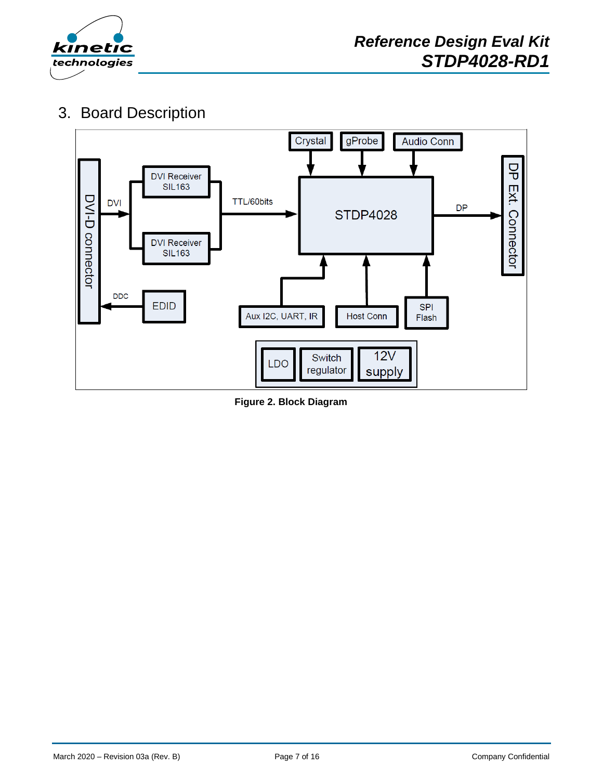

# <span id="page-6-0"></span>3. Board Description



<span id="page-6-1"></span>**Figure 2. Block Diagram**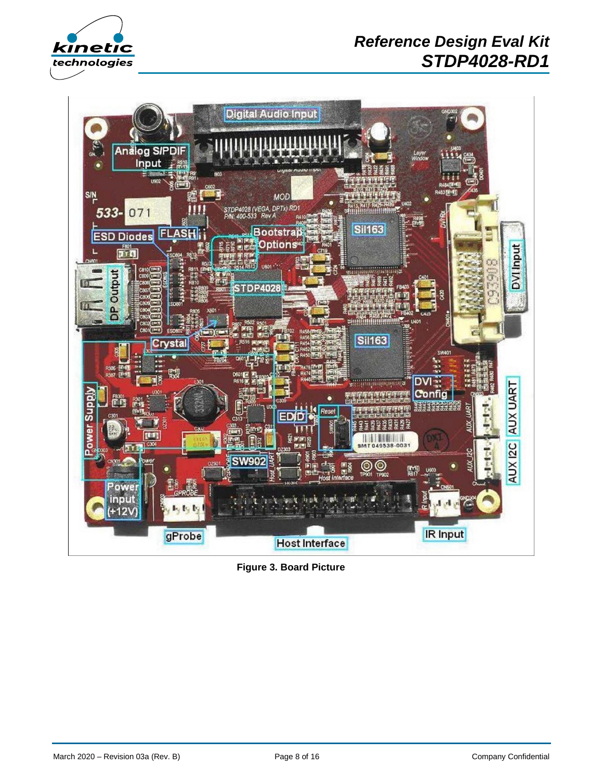

# **X** *Reference Design Eval Kit STDP4028-RD1*



<span id="page-7-0"></span>**Figure 3. Board Picture**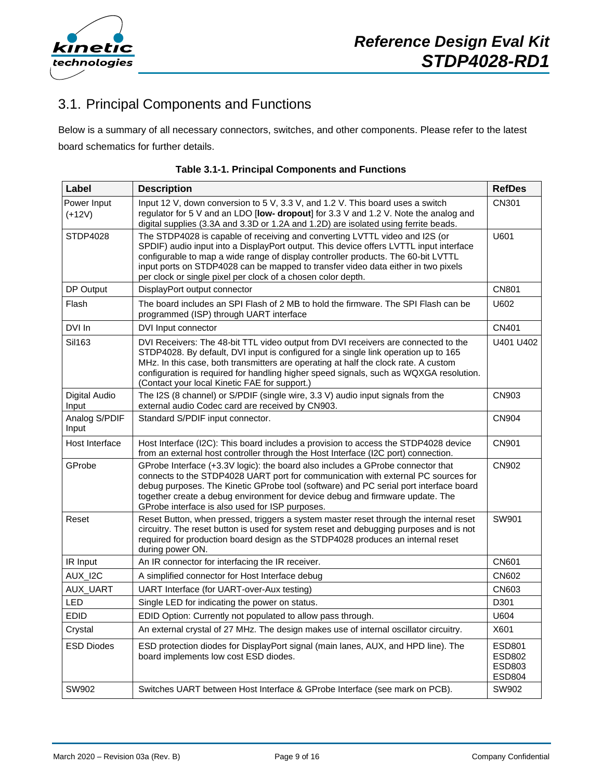

# <span id="page-8-0"></span>3.1. Principal Components and Functions

Below is a summary of all necessary connectors, switches, and other components. Please refer to the latest board schematics for further details.

<span id="page-8-1"></span>

| Label                   | <b>Description</b>                                                                                                                                                                                                                                                                                                                                                                                              | <b>RefDes</b>                               |
|-------------------------|-----------------------------------------------------------------------------------------------------------------------------------------------------------------------------------------------------------------------------------------------------------------------------------------------------------------------------------------------------------------------------------------------------------------|---------------------------------------------|
| Power Input<br>$(+12V)$ | Input 12 V, down conversion to 5 V, 3.3 V, and 1.2 V. This board uses a switch<br>regulator for 5 V and an LDO [low- dropout] for 3.3 V and 1.2 V. Note the analog and<br>digital supplies (3.3A and 3.3D or 1.2A and 1.2D) are isolated using ferrite beads.                                                                                                                                                   | CN301                                       |
| STDP4028                | The STDP4028 is capable of receiving and converting LVTTL video and I2S (or<br>SPDIF) audio input into a DisplayPort output. This device offers LVTTL input interface<br>configurable to map a wide range of display controller products. The 60-bit LVTTL<br>input ports on STDP4028 can be mapped to transfer video data either in two pixels<br>per clock or single pixel per clock of a chosen color depth. | U601                                        |
| DP Output               | DisplayPort output connector                                                                                                                                                                                                                                                                                                                                                                                    | <b>CN801</b>                                |
| Flash                   | The board includes an SPI Flash of 2 MB to hold the firmware. The SPI Flash can be<br>programmed (ISP) through UART interface                                                                                                                                                                                                                                                                                   | U602                                        |
| DVI In                  | DVI Input connector                                                                                                                                                                                                                                                                                                                                                                                             | CN401                                       |
| Sil163                  | DVI Receivers: The 48-bit TTL video output from DVI receivers are connected to the<br>STDP4028. By default, DVI input is configured for a single link operation up to 165<br>MHz. In this case, both transmitters are operating at half the clock rate. A custom<br>configuration is required for handling higher speed signals, such as WQXGA resolution.<br>(Contact your local Kinetic FAE for support.)     | U401 U402                                   |
| Digital Audio<br>Input  | The I2S (8 channel) or S/PDIF (single wire, 3.3 V) audio input signals from the<br>external audio Codec card are received by CN903.                                                                                                                                                                                                                                                                             | <b>CN903</b>                                |
| Analog S/PDIF<br>Input  | Standard S/PDIF input connector.                                                                                                                                                                                                                                                                                                                                                                                | CN904                                       |
| Host Interface          | Host Interface (I2C): This board includes a provision to access the STDP4028 device<br>from an external host controller through the Host Interface (I2C port) connection.                                                                                                                                                                                                                                       | <b>CN901</b>                                |
| GProbe                  | GProbe Interface (+3.3V logic): the board also includes a GProbe connector that<br>connects to the STDP4028 UART port for communication with external PC sources for<br>debug purposes. The Kinetic GProbe tool (software) and PC serial port interface board<br>together create a debug environment for device debug and firmware update. The<br>GProbe interface is also used for ISP purposes.               | CN902                                       |
| Reset                   | Reset Button, when pressed, triggers a system master reset through the internal reset<br>circuitry. The reset button is used for system reset and debugging purposes and is not<br>required for production board design as the STDP4028 produces an internal reset<br>during power ON.                                                                                                                          | SW901                                       |
| IR Input                | An IR connector for interfacing the IR receiver.                                                                                                                                                                                                                                                                                                                                                                | <b>CN601</b>                                |
| AUX_I2C                 | A simplified connector for Host Interface debug                                                                                                                                                                                                                                                                                                                                                                 | CN602                                       |
| AUX_UART                | UART Interface (for UART-over-Aux testing)                                                                                                                                                                                                                                                                                                                                                                      | CN603                                       |
| LED                     | Single LED for indicating the power on status.                                                                                                                                                                                                                                                                                                                                                                  | D301                                        |
| <b>EDID</b>             | EDID Option: Currently not populated to allow pass through.                                                                                                                                                                                                                                                                                                                                                     | U604                                        |
| Crystal                 | An external crystal of 27 MHz. The design makes use of internal oscillator circuitry.                                                                                                                                                                                                                                                                                                                           | X601                                        |
| <b>ESD Diodes</b>       | ESD protection diodes for DisplayPort signal (main lanes, AUX, and HPD line). The<br>board implements low cost ESD diodes.                                                                                                                                                                                                                                                                                      | ESD801<br>ESD802<br>ESD803<br><b>ESD804</b> |
| SW902                   | Switches UART between Host Interface & GProbe Interface (see mark on PCB).                                                                                                                                                                                                                                                                                                                                      | SW902                                       |

|  | Table 3.1-1. Principal Components and Functions |  |
|--|-------------------------------------------------|--|
|  |                                                 |  |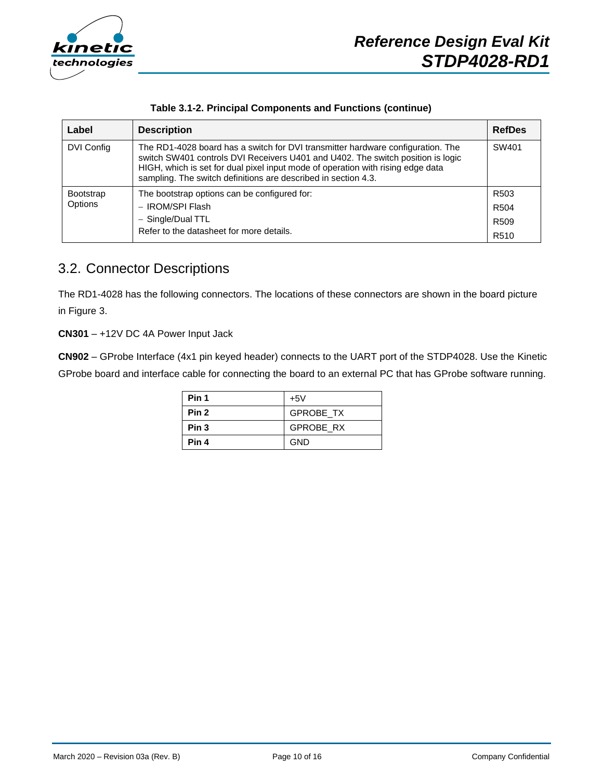

|  |  | Table 3.1-2. Principal Components and Functions (continue) |  |  |
|--|--|------------------------------------------------------------|--|--|
|--|--|------------------------------------------------------------|--|--|

<span id="page-9-1"></span>

| Label            | <b>Description</b>                                                                                                                                                                                                                                                                                                      | <b>RefDes</b>    |
|------------------|-------------------------------------------------------------------------------------------------------------------------------------------------------------------------------------------------------------------------------------------------------------------------------------------------------------------------|------------------|
| DVI Config       | The RD1-4028 board has a switch for DVI transmitter hardware configuration. The<br>switch SW401 controls DVI Receivers U401 and U402. The switch position is logic<br>HIGH, which is set for dual pixel input mode of operation with rising edge data<br>sampling. The switch definitions are described in section 4.3. |                  |
| <b>Bootstrap</b> | The bootstrap options can be configured for:                                                                                                                                                                                                                                                                            | R <sub>503</sub> |
| Options          | - IROM/SPI Flash                                                                                                                                                                                                                                                                                                        | R <sub>504</sub> |
|                  | - Single/Dual TTL                                                                                                                                                                                                                                                                                                       | R <sub>509</sub> |
|                  | Refer to the datasheet for more details.                                                                                                                                                                                                                                                                                | R <sub>510</sub> |

## <span id="page-9-0"></span>3.2. Connector Descriptions

The RD1-4028 has the following connectors. The locations of these connectors are shown in the board picture in Figure 3.

**CN301** – +12V DC 4A Power Input Jack

**CN902** – GProbe Interface (4x1 pin keyed header) connects to the UART port of the STDP4028. Use the Kinetic GProbe board and interface cable for connecting the board to an external PC that has GProbe software running.

| Pin 1            | $+5V$            |
|------------------|------------------|
| Pin <sub>2</sub> | <b>GPROBE TX</b> |
| Pin <sub>3</sub> | <b>GPROBE RX</b> |
| Pin 4            | <b>GND</b>       |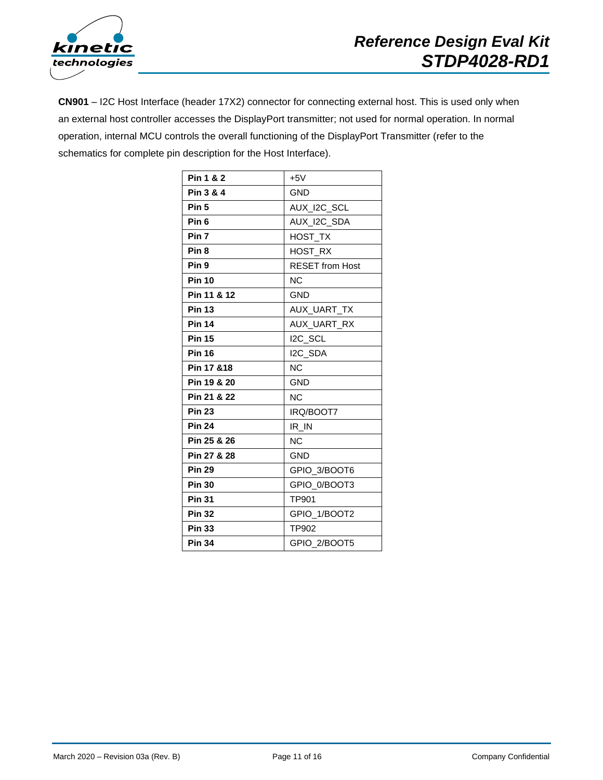

**CN901** – I2C Host Interface (header 17X2) connector for connecting external host. This is used only when an external host controller accesses the DisplayPort transmitter; not used for normal operation. In normal operation, internal MCU controls the overall functioning of the DisplayPort Transmitter (refer to the schematics for complete pin description for the Host Interface).

| Pin 1 & 2        | $+5V$                  |
|------------------|------------------------|
| Pin 3 & 4        | <b>GND</b>             |
| Pin <sub>5</sub> | AUX_I2C_SCL            |
| Pin <sub>6</sub> | AUX_I2C_SDA            |
| Pin <sub>7</sub> | HOST_TX                |
| Pin <sub>8</sub> | <b>HOST RX</b>         |
| Pin <sub>9</sub> | <b>RESET from Host</b> |
| <b>Pin 10</b>    | <b>NC</b>              |
| Pin 11 & 12      | <b>GND</b>             |
| <b>Pin 13</b>    | AUX_UART_TX            |
| <b>Pin 14</b>    | AUX_UART_RX            |
| <b>Pin 15</b>    | I2C_SCL                |
| <b>Pin 16</b>    | I2C_SDA                |
| Pin 17 & 18      | <b>NC</b>              |
| Pin 19 & 20      | <b>GND</b>             |
| Pin 21 & 22      | N <sub>C</sub>         |
| <b>Pin 23</b>    | IRQ/BOOT7              |
| <b>Pin 24</b>    | IR_IN                  |
| Pin 25 & 26      | <b>NC</b>              |
| Pin 27 & 28      | <b>GND</b>             |
| <b>Pin 29</b>    | GPIO 3/BOOT6           |
| <b>Pin 30</b>    | GPIO 0/BOOT3           |
| <b>Pin 31</b>    | TP901                  |
| <b>Pin 32</b>    | GPIO 1/BOOT2           |
| <b>Pin 33</b>    | TP902                  |
| <b>Pin 34</b>    | GPIO_2/BOOT5           |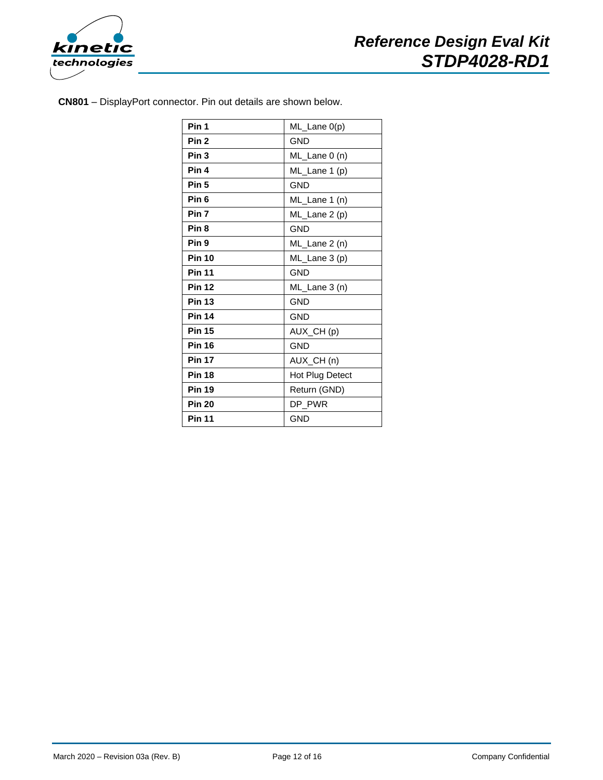

**CN801** – DisplayPort connector. Pin out details are shown below.

| Pin 1            | ML_Lane 0(p)    |
|------------------|-----------------|
| Pin <sub>2</sub> | <b>GND</b>      |
| Pin <sub>3</sub> | ML_Lane 0 (n)   |
| Pin 4            | ML_Lane 1 (p)   |
| Pin <sub>5</sub> | <b>GND</b>      |
| Pin <sub>6</sub> | ML_Lane 1 (n)   |
| Pin 7            | ML_Lane 2 (p)   |
| Pin <sub>8</sub> | <b>GND</b>      |
| Pin 9            | ML_Lane 2 (n)   |
| <b>Pin 10</b>    | ML_Lane 3 (p)   |
| <b>Pin 11</b>    | <b>GND</b>      |
| <b>Pin 12</b>    | ML_Lane 3 (n)   |
| <b>Pin 13</b>    | <b>GND</b>      |
| <b>Pin 14</b>    | <b>GND</b>      |
| <b>Pin 15</b>    | AUX_CH(p)       |
| <b>Pin 16</b>    | <b>GND</b>      |
| <b>Pin 17</b>    | AUX_CH(n)       |
| <b>Pin 18</b>    | Hot Plug Detect |
| <b>Pin 19</b>    | Return (GND)    |
| <b>Pin 20</b>    | DP PWR          |
| <b>Pin 11</b>    | <b>GND</b>      |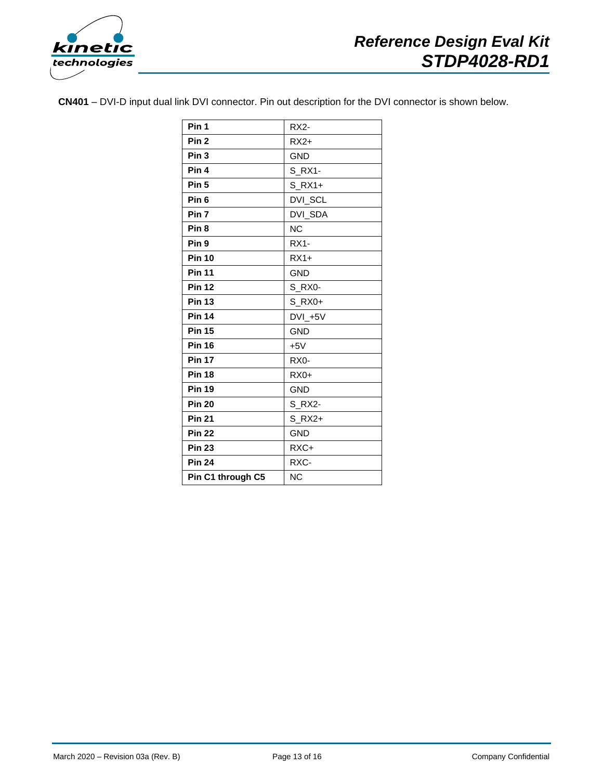

**CN401** – DVI-D input dual link DVI connector. Pin out description for the DVI connector is shown below.

| Pin 1             | <b>RX2-</b>       |
|-------------------|-------------------|
| Pin <sub>2</sub>  | $RX2+$            |
| Pin <sub>3</sub>  | <b>GND</b>        |
| Pin 4             | S RX1-            |
| Pin <sub>5</sub>  | $S$ RX1+          |
| Pin <sub>6</sub>  | DVI_SCL           |
| Pin 7             | DVI_SDA           |
| Pin <sub>8</sub>  | <b>NC</b>         |
| Pin <sub>9</sub>  | $RX1-$            |
| <b>Pin 10</b>     | $RX1+$            |
| <b>Pin 11</b>     | <b>GND</b>        |
| <b>Pin 12</b>     | S RX0-            |
| <b>Pin 13</b>     | S_RX0+            |
| <b>Pin 14</b>     | $DVL + 5V$        |
| <b>Pin 15</b>     | <b>GND</b>        |
| <b>Pin 16</b>     | $+5V$             |
| <b>Pin 17</b>     | RX <sub>0</sub> - |
| <b>Pin 18</b>     | $RX0+$            |
| <b>Pin 19</b>     | <b>GND</b>        |
| <b>Pin 20</b>     | S RX2-            |
| <b>Pin 21</b>     | $S$ RX2+          |
| <b>Pin 22</b>     | <b>GND</b>        |
| <b>Pin 23</b>     | RXC+              |
| <b>Pin 24</b>     | RXC-              |
| Pin C1 through C5 | <b>NC</b>         |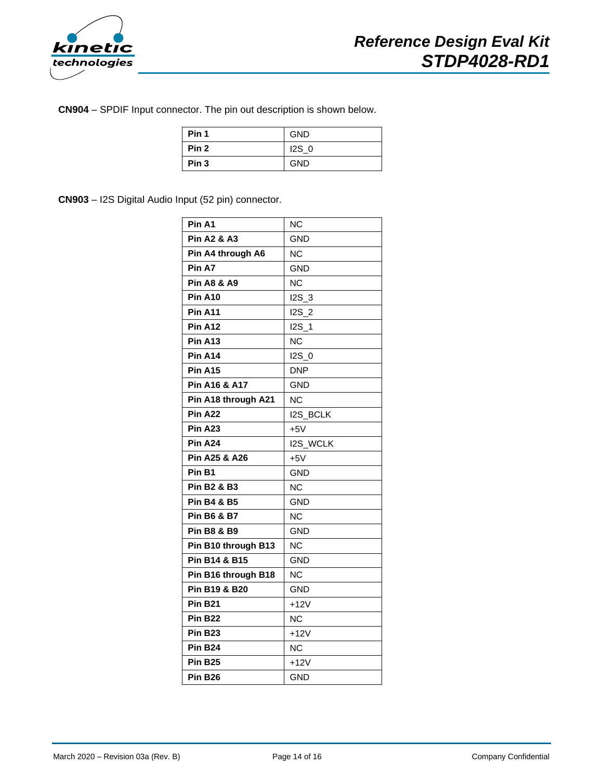

**CN904** – SPDIF Input connector. The pin out description is shown below.

| Pin 1            | <b>GND</b>       |
|------------------|------------------|
| Pin <sub>2</sub> | 12S <sub>0</sub> |
| Pin <sub>3</sub> | <b>GND</b>       |

**CN903** – I2S Digital Audio Input (52 pin) connector.

| Pin A1                 | <b>NC</b>        |
|------------------------|------------------|
| <b>Pin A2 &amp; A3</b> | <b>GND</b>       |
| Pin A4 through A6      | <b>NC</b>        |
| Pin A7                 | <b>GND</b>       |
| <b>Pin A8 &amp; A9</b> | <b>NC</b>        |
| <b>Pin A10</b>         | $12S_3$          |
| <b>Pin A11</b>         | <b>I2S 2</b>     |
| Pin A12                | I2S 1            |
| <b>Pin A13</b>         | <b>NC</b>        |
| <b>Pin A14</b>         | 12S <sub>0</sub> |
| <b>Pin A15</b>         | <b>DNP</b>       |
| Pin A16 & A17          | GND              |
| Pin A18 through A21    | NC               |
| Pin A22                | <b>I2S_BCLK</b>  |
| Pin A <sub>23</sub>    | $+5V$            |
| Pin A24                | <b>I2S WCLK</b>  |
| Pin A25 & A26          | $+5V$            |
| Pin B1                 | GND              |
| <b>Pin B2 &amp; B3</b> | NC               |
| <b>Pin B4 &amp; B5</b> | GND              |
| <b>Pin B6 &amp; B7</b> | <b>NC</b>        |
| <b>Pin B8 &amp; B9</b> | GND              |
| Pin B10 through B13    | <b>NC</b>        |
| Pin B14 & B15          | GND              |
| Pin B16 through B18    | NC               |
| Pin B19 & B20          | <b>GND</b>       |
| <b>Pin B21</b>         | $+12V$           |
| <b>Pin B22</b>         | NC               |
| <b>Pin B23</b>         | $+12V$           |
| <b>Pin B24</b>         | ΝC               |
| <b>Pin B25</b>         | $+12V$           |
| <b>Pin B26</b>         | <b>GND</b>       |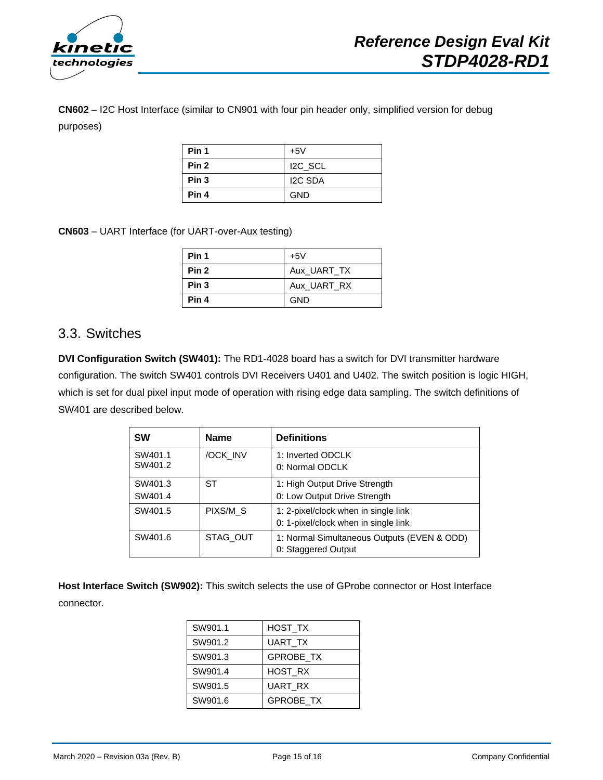

**CN602** – I2C Host Interface (similar to CN901 with four pin header only, simplified version for debug purposes)

| Pin 1            | $+5V$               |
|------------------|---------------------|
| Pin <sub>2</sub> | I <sub>2C</sub> SCL |
| Pin <sub>3</sub> | <b>I2C SDA</b>      |
| Pin 4            | <b>GND</b>          |

**CN603** – UART Interface (for UART-over-Aux testing)

| Pin 1            | $+5V$       |
|------------------|-------------|
| Pin <sub>2</sub> | Aux UART TX |
| Pin <sub>3</sub> | Aux UART RX |
| Pin 4            | <b>GND</b>  |

#### <span id="page-14-0"></span>3.3. Switches

**DVI Configuration Switch (SW401):** The RD1-4028 board has a switch for DVI transmitter hardware configuration. The switch SW401 controls DVI Receivers U401 and U402. The switch position is logic HIGH, which is set for dual pixel input mode of operation with rising edge data sampling. The switch definitions of SW401 are described below.

| <b>SW</b>          | <b>Name</b> | <b>Definitions</b>                                                           |
|--------------------|-------------|------------------------------------------------------------------------------|
| SW401.1<br>SW401.2 | /OCK INV    | 1: Inverted ODCLK<br>0: Normal ODCLK                                         |
| SW401.3<br>SW401.4 | ST          | 1: High Output Drive Strength<br>0: Low Output Drive Strength                |
| SW401.5            | PIXS/M S    | 1: 2-pixel/clock when in single link<br>0: 1-pixel/clock when in single link |
| SW401.6            | STAG OUT    | 1: Normal Simultaneous Outputs (EVEN & ODD)<br>0: Staggered Output           |

**Host Interface Switch (SW902):** This switch selects the use of GProbe connector or Host Interface connector.

| SW901.1 | HOST TX          |
|---------|------------------|
| SW901.2 | UART_TX          |
| SW901.3 | <b>GPROBE TX</b> |
| SW901.4 | <b>HOST RX</b>   |
| SW901.5 | UART RX          |
| SW901.6 | <b>GPROBE TX</b> |